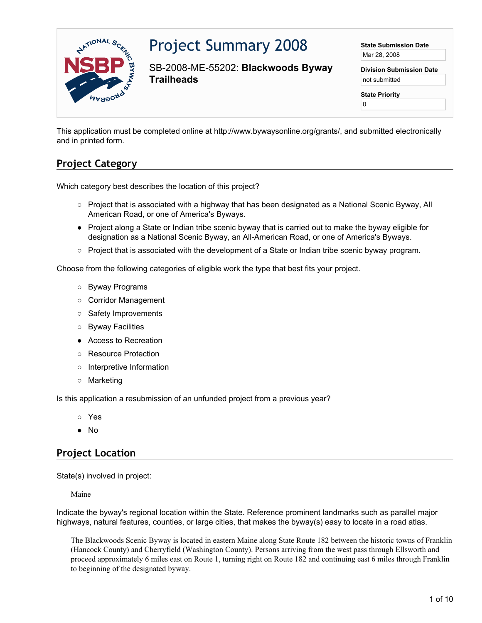

# Project Summary 2008

SB-2008-ME-55202: **Blackwoods Byway Trailheads**

**State Submission Date** Mar 28, 2008

**Division Submission Date** not submitted

**State Priority**

0

This application must be completed online at http://www.bywaysonline.org/grants/, and submitted electronically and in printed form.

## **Project Category**

Which category best describes the location of this project?

- Project that is associated with a highway that has been designated as a National Scenic Byway, All American Road, or one of America's Byways.
- Project along a State or Indian tribe scenic byway that is carried out to make the byway eligible for designation as a National Scenic Byway, an All-American Road, or one of America's Byways.
- Project that is associated with the development of a State or Indian tribe scenic byway program.

Choose from the following categories of eligible work the type that best fits your project.

- Byway Programs
- Corridor Management
- Safety Improvements
- Byway Facilities
- Access to Recreation
- Resource Protection
- Interpretive Information
- Marketing

Is this application a resubmission of an unfunded project from a previous year?

- Yes
- No

## **Project Location**

State(s) involved in project:

Maine

Indicate the byway's regional location within the State. Reference prominent landmarks such as parallel major highways, natural features, counties, or large cities, that makes the byway(s) easy to locate in a road atlas.

The Blackwoods Scenic Byway is located in eastern Maine along State Route 182 between the historic towns of Franklin (Hancock County) and Cherryfield (Washington County). Persons arriving from the west pass through Ellsworth and proceed approximately 6 miles east on Route 1, turning right on Route 182 and continuing east 6 miles through Franklin to beginning of the designated byway.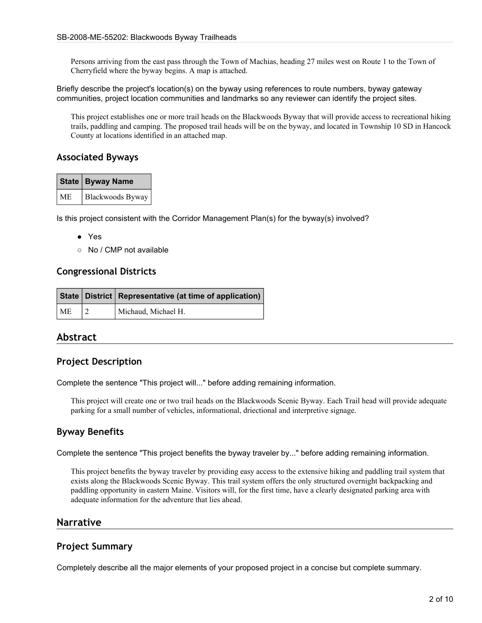Persons arriving from the east pass through the Town of Machias, heading 27 miles west on Route 1 to the Town of Cherryfield where the byway begins. A map is attached.

Briefly describe the project's location(s) on the byway using references to route numbers, byway gateway communities, project location communities and landmarks so any reviewer can identify the project sites.

This project establishes one or more trail heads on the Blackwoods Byway that will provide access to recreational hiking trails, paddling and camping. The proposed trail heads will be on the byway, and located in Township 10 SD in Hancock County at locations identified in an attached map.

#### **Associated Byways**

| State   Byway Name    |  |
|-----------------------|--|
| ME   Blackwoods Byway |  |

Is this project consistent with the Corridor Management Plan(s) for the byway(s) involved?

- Yes
- No / CMP not available

#### **Congressional Districts**

|    | State   District   Representative (at time of application) |  |
|----|------------------------------------------------------------|--|
| ME | Michaud, Michael H.                                        |  |

#### **Abstract**

#### **Project Description**

Complete the sentence "This project will..." before adding remaining information.

This project will create one or two trail heads on the Blackwoods Scenic Byway. Each Trail head will provide adequate parking for a small number of vehicles, informational, driectional and interpretive signage.

#### **Byway Benefits**

Complete the sentence "This project benefits the byway traveler by..." before adding remaining information.

This project benefits the byway traveler by providing easy access to the extensive hiking and paddling trail system that exists along the Blackwoods Scenic Byway. This trail system offers the only structured overnight backpacking and paddling opportunity in eastern Maine. Visitors will, for the first time, have a clearly designated parking area with adequate information for the adventure that lies ahead.

#### **Narrative**

#### **Project Summary**

Completely describe all the major elements of your proposed project in a concise but complete summary.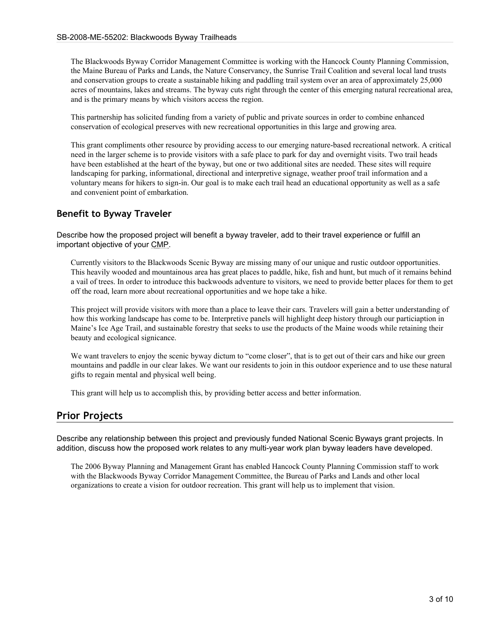The Blackwoods Byway Corridor Management Committee is working with the Hancock County Planning Commission, the Maine Bureau of Parks and Lands, the Nature Conservancy, the Sunrise Trail Coalition and several local land trusts and conservation groups to create a sustainable hiking and paddling trail system over an area of approximately 25,000 acres of mountains, lakes and streams. The byway cuts right through the center of this emerging natural recreational area, and is the primary means by which visitors access the region.

This partnership has solicited funding from a variety of public and private sources in order to combine enhanced conservation of ecological preserves with new recreational opportunities in this large and growing area.

This grant compliments other resource by providing access to our emerging nature-based recreational network. A critical need in the larger scheme is to provide visitors with a safe place to park for day and overnight visits. Two trail heads have been established at the heart of the byway, but one or two additional sites are needed. These sites will require landscaping for parking, informational, directional and interpretive signage, weather proof trail information and a voluntary means for hikers to sign-in. Our goal is to make each trail head an educational opportunity as well as a safe and convenient point of embarkation.

## **Benefit to Byway Traveler**

Describe how the proposed project will benefit a byway traveler, add to their travel experience or fulfill an important objective of your CMP.

Currently visitors to the Blackwoods Scenic Byway are missing many of our unique and rustic outdoor opportunities. This heavily wooded and mountainous area has great places to paddle, hike, fish and hunt, but much of it remains behind a vail of trees. In order to introduce this backwoods adventure to visitors, we need to provide better places for them to get off the road, learn more about recreational opportunities and we hope take a hike.

This project will provide visitors with more than a place to leave their cars. Travelers will gain a better understanding of how this working landscape has come to be. Interpretive panels will highlight deep history through our particiaption in Maine's Ice Age Trail, and sustainable forestry that seeks to use the products of the Maine woods while retaining their beauty and ecological signicance.

We want travelers to enjoy the scenic byway dictum to "come closer", that is to get out of their cars and hike our green mountains and paddle in our clear lakes. We want our residents to join in this outdoor experience and to use these natural gifts to regain mental and physical well being.

This grant will help us to accomplish this, by providing better access and better information.

## **Prior Projects**

Describe any relationship between this project and previously funded National Scenic Byways grant projects. In addition, discuss how the proposed work relates to any multi-year work plan byway leaders have developed.

The 2006 Byway Planning and Management Grant has enabled Hancock County Planning Commission staff to work with the Blackwoods Byway Corridor Management Committee, the Bureau of Parks and Lands and other local organizations to create a vision for outdoor recreation. This grant will help us to implement that vision.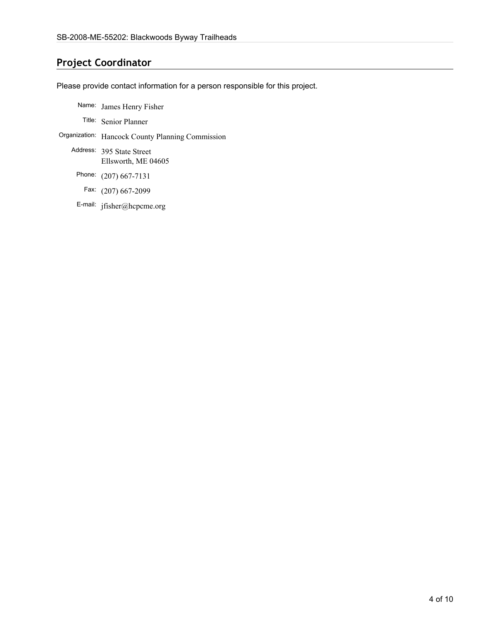## **Project Coordinator**

Please provide contact information for a person responsible for this project.

- Name: James Henry Fisher
	- Title: Senior Planner
- Organization: Hancock County Planning Commission
	- Address: 395 State Street Ellsworth, ME 04605
		- Phone: (207) 667-7131
		- Fax: (207) 667-2099
		- E-mail: jfisher@hcpcme.org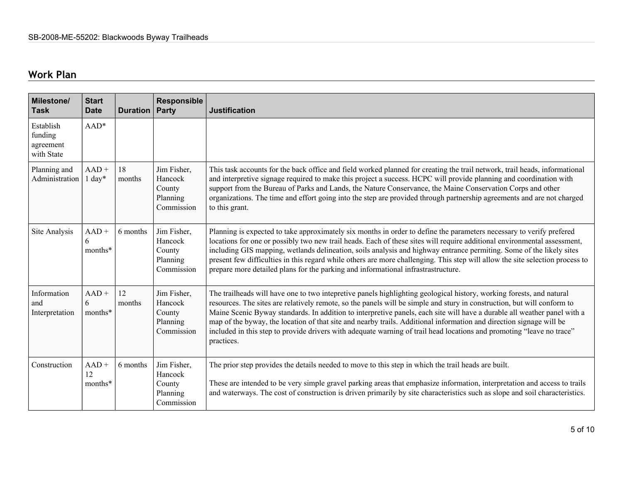## **Work Plan**

| <b>Milestone/</b><br><b>Task</b>                | <b>Start</b><br><b>Date</b> | <b>Duration</b> | Responsible<br>Party                                       | <b>Justification</b>                                                                                                                                                                                                                                                                                                                                                                                                                                                                                                                                                                                                                      |
|-------------------------------------------------|-----------------------------|-----------------|------------------------------------------------------------|-------------------------------------------------------------------------------------------------------------------------------------------------------------------------------------------------------------------------------------------------------------------------------------------------------------------------------------------------------------------------------------------------------------------------------------------------------------------------------------------------------------------------------------------------------------------------------------------------------------------------------------------|
| Establish<br>funding<br>agreement<br>with State | $AAD*$                      |                 |                                                            |                                                                                                                                                                                                                                                                                                                                                                                                                                                                                                                                                                                                                                           |
| Planning and<br>Administration                  | $AAD +$<br>$1 \text{ day*}$ | 18<br>months    | Jim Fisher,<br>Hancock<br>County<br>Planning<br>Commission | This task accounts for the back office and field worked planned for creating the trail network, trail heads, informational<br>and interpretive signage required to make this project a success. HCPC will provide planning and coordination with<br>support from the Bureau of Parks and Lands, the Nature Conservance, the Maine Conservation Corps and other<br>organizations. The time and effort going into the step are provided through partnership agreements and are not charged<br>to this grant.                                                                                                                                |
| Site Analysis                                   | $AAD +$<br>6<br>months*     | 6 months        | Jim Fisher,<br>Hancock<br>County<br>Planning<br>Commission | Planning is expected to take approximately six months in order to define the parameters necessary to verify prefered<br>locations for one or possibly two new trail heads. Each of these sites will require additional environmental assessment,<br>including GIS mapping, wetlands delineation, soils analysis and highway entrance permiting. Some of the likely sites<br>present few difficulties in this regard while others are more challenging. This step will allow the site selection process to<br>prepare more detailed plans for the parking and informational infrastrastructure.                                            |
| Information<br>and<br>Interpretation            | $AAD +$<br>6<br>months*     | 12<br>months    | Jim Fisher,<br>Hancock<br>County<br>Planning<br>Commission | The trailheads will have one to two intepretive panels highlighting geological history, working forests, and natural<br>resources. The sites are relatively remote, so the panels will be simple and stury in construction, but will conform to<br>Maine Scenic Byway standards. In addition to interpretive panels, each site will have a durable all weather panel with a<br>map of the byway, the location of that site and nearby trails. Additional information and direction signage will be<br>included in this step to provide drivers with adequate warning of trail head locations and promoting "leave no trace"<br>practices. |
| Construction                                    | $AAD +$<br>12<br>months*    | 6 months        | Jim Fisher,<br>Hancock<br>County<br>Planning<br>Commission | The prior step provides the details needed to move to this step in which the trail heads are built.<br>These are intended to be very simple gravel parking areas that emphasize information, interpretation and access to trails<br>and waterways. The cost of construction is driven primarily by site characteristics such as slope and soil characteristics.                                                                                                                                                                                                                                                                           |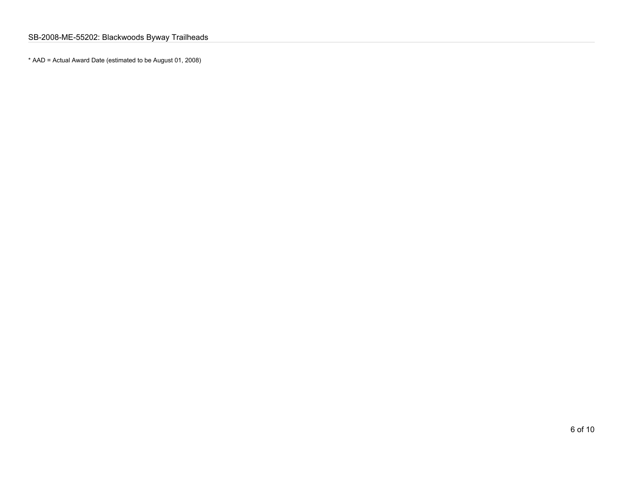\* AAD = Actual Award Date (estimated to be August 01, 2008)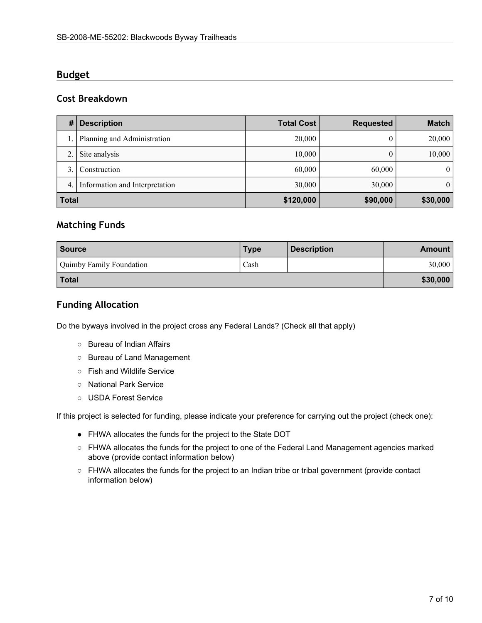## **Budget**

#### **Cost Breakdown**

| #            | <b>Description</b>             | <b>Total Cost</b> | <b>Requested</b> | <b>Match</b>   |
|--------------|--------------------------------|-------------------|------------------|----------------|
|              | Planning and Administration    | 20,000            |                  | 20,000         |
|              | Site analysis                  | 10,000            |                  | 10,000         |
|              | Construction                   | 60,000            | 60,000           | $\overline{0}$ |
| 4.           | Information and Interpretation | 30,000            | 30,000           | $\theta$       |
| <b>Total</b> |                                | \$120,000         | \$90,000         | \$30,000       |

## **Matching Funds**

| <b>Source</b>            | <b>Type</b> | <b>Description</b> | <b>Amount</b> |
|--------------------------|-------------|--------------------|---------------|
| Quimby Family Foundation | Cash        |                    | 30,000        |
| <b>Total</b>             |             |                    | \$30,000      |

## **Funding Allocation**

Do the byways involved in the project cross any Federal Lands? (Check all that apply)

- Bureau of Indian Affairs
- Bureau of Land Management
- Fish and Wildlife Service
- National Park Service
- USDA Forest Service

If this project is selected for funding, please indicate your preference for carrying out the project (check one):

- FHWA allocates the funds for the project to the State DOT
- FHWA allocates the funds for the project to one of the Federal Land Management agencies marked above (provide contact information below)
- FHWA allocates the funds for the project to an Indian tribe or tribal government (provide contact information below)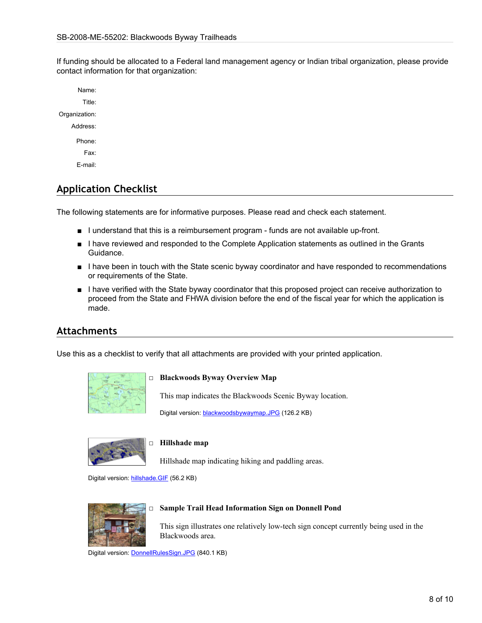If funding should be allocated to a Federal land management agency or Indian tribal organization, please provide contact information for that organization:

Name: Title: Organization: Address: Phone: Fax: E-mail:

## **Application Checklist**

The following statements are for informative purposes. Please read and check each statement.

- I understand that this is a reimbursement program funds are not available up-front.
- I have reviewed and responded to the Complete Application statements as outlined in the Grants Guidance.
- I have been in touch with the State scenic byway coordinator and have responded to recommendations or requirements of the State.
- I have verified with the State byway coordinator that this proposed project can receive authorization to proceed from the State and FHWA division before the end of the fiscal year for which the application is made.

#### **Attachments**

Use this as a checklist to verify that all attachments are provided with your printed application.



#### □ **Blackwoods Byway Overview Map**

This map indicates the Blackwoods Scenic Byway location.

Digital version: [blackwoodsbywaymap.JPG](http://www.bywaysonline.org//grants/application/attachments/8518_loyt3oppbg.JPG) (126.2 KB)



#### □ **Hillshade map**

Hillshade map indicating hiking and paddling areas.

Digital version: [hillshade.GIF](http://www.bywaysonline.org//grants/application/attachments/8520_d3rlxfgi87.GIF) (56.2 KB)



#### □ **Sample Trail Head Information Sign on Donnell Pond**

This sign illustrates one relatively low-tech sign concept currently being used in the Blackwoods area.

Digital version: [DonnellRulesSign.JPG](http://www.bywaysonline.org//grants/application/attachments/8519_pfcy3lrkj1.JPG) (840.1 KB)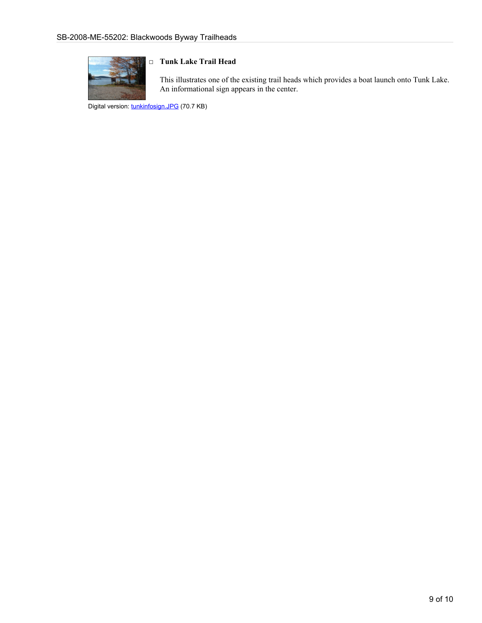

#### □ **Tunk Lake Trail Head**

This illustrates one of the existing trail heads which provides a boat launch onto Tunk Lake. An informational sign appears in the center.

Digital version: [tunkinfosign.JPG](http://www.bywaysonline.org//grants/application/attachments/8521_ox0cbdba69.JPG) (70.7 KB)